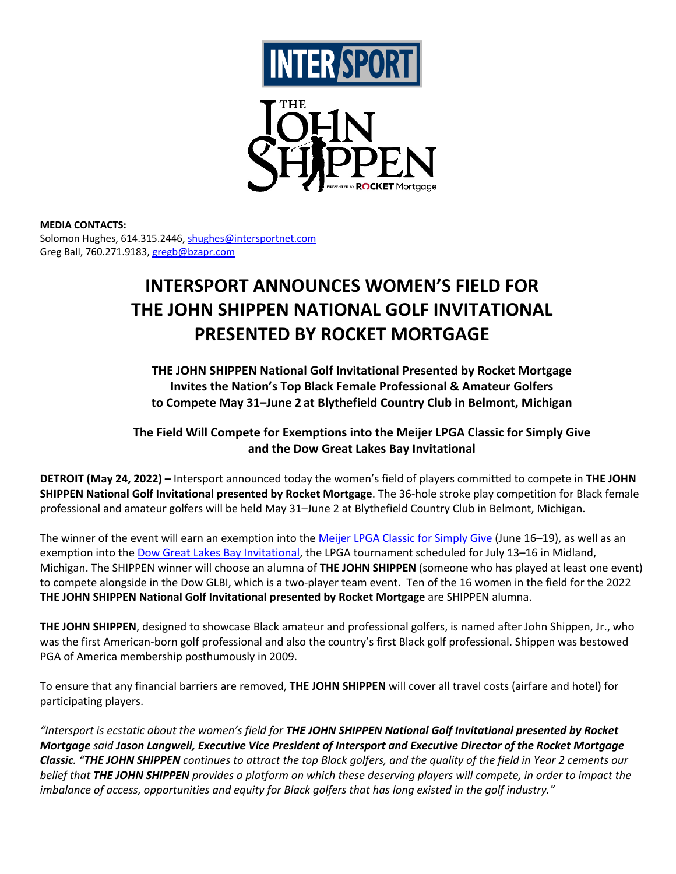



## **MEDIA CONTACTS:**

Solomon Hughes, 614.315.2446, shughes@intersportnet.com Greg Ball, 760.271.9183, gregb@bzapr.com

# **INTERSPORT ANNOUNCES WOMEN'S FIELD FOR THE JOHN SHIPPEN NATIONAL GOLF INVITATIONAL PRESENTED BY ROCKET MORTGAGE**

**THE JOHN SHIPPEN National Golf Invitational Presented by Rocket Mortgage Invites the Nation's Top Black Female Professional & Amateur Golfers to Compete May 31–June 2 at Blythefield Country Club in Belmont, Michigan**

## **The Field Will Compete for Exemptions into the Meijer LPGA Classic for Simply Give and the Dow Great Lakes Bay Invitational**

**DETROIT (May 24, 2022) –** Intersport announced today the women's field of players committed to compete in **THE JOHN SHIPPEN National Golf Invitational presented by Rocket Mortgage**. The 36-hole stroke play competition for Black female professional and amateur golfers will be held May 31–June 2 at Blythefield Country Club in Belmont, Michigan.

The winner of the event will earn an exemption into the Meijer LPGA Classic for Simply Give (June 16–19), as well as an exemption into the Dow Great Lakes Bay Invitational, the LPGA tournament scheduled for July 13–16 in Midland, Michigan. The SHIPPEN winner will choose an alumna of **THE JOHN SHIPPEN** (someone who has played at least one event) to compete alongside in the Dow GLBI, which is a two-player team event. Ten of the 16 women in the field for the 2022 **THE JOHN SHIPPEN National Golf Invitational presented by Rocket Mortgage** are SHIPPEN alumna.

**THE JOHN SHIPPEN**, designed to showcase Black amateur and professional golfers, is named after John Shippen, Jr., who was the first American-born golf professional and also the country's first Black golf professional. Shippen was bestowed PGA of America membership posthumously in 2009.

To ensure that any financial barriers are removed, **THE JOHN SHIPPEN** will cover all travel costs (airfare and hotel) for participating players.

*"Intersport is ecstatic about the women's field for THE JOHN SHIPPEN National Golf Invitational presented by Rocket Mortgage said Jason Langwell, Executive Vice President of Intersport and Executive Director of the Rocket Mortgage Classic. "THE JOHN SHIPPEN continues to attract the top Black golfers, and the quality of the field in Year 2 cements our belief that THE JOHN SHIPPEN provides a platform on which these deserving players will compete, in order to impact the imbalance of access, opportunities and equity for Black golfers that has long existed in the golf industry."*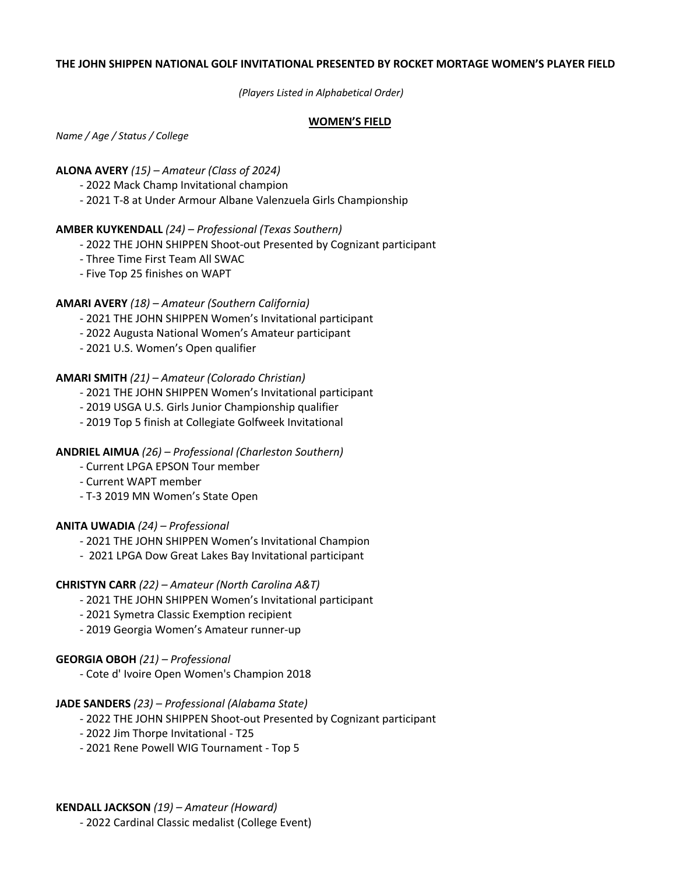#### **THE JOHN SHIPPEN NATIONAL GOLF INVITATIONAL PRESENTED BY ROCKET MORTAGE WOMEN'S PLAYER FIELD**

*(Players Listed in Alphabetical Order)*

#### **WOMEN'S FIELD**

*Name / Age / Status / College*

#### **ALONA AVERY** *(15) – Amateur (Class of 2024)*

- 2022 Mack Champ Invitational champion

- 2021 T-8 at Under Armour Albane Valenzuela Girls Championship

#### **AMBER KUYKENDALL** *(24) – Professional (Texas Southern)*

- 2022 THE JOHN SHIPPEN Shoot-out Presented by Cognizant participant
- Three Time First Team All SWAC
- Five Top 25 finishes on WAPT

## **AMARI AVERY** *(18) – Amateur (Southern California)*

- 2021 THE JOHN SHIPPEN Women's Invitational participant
- 2022 Augusta National Women's Amateur participant
- 2021 U.S. Women's Open qualifier

## **AMARI SMITH** *(21) – Amateur (Colorado Christian)*

- 2021 THE JOHN SHIPPEN Women's Invitational participant
- 2019 USGA U.S. Girls Junior Championship qualifier
- 2019 Top 5 finish at Collegiate Golfweek Invitational

## **ANDRIEL AIMUA** *(26) – Professional (Charleston Southern)*

- Current LPGA EPSON Tour member
- Current WAPT member
- T-3 2019 MN Women's State Open

#### **ANITA UWADIA** *(24) – Professional*

- 2021 THE JOHN SHIPPEN Women's Invitational Champion
- 2021 LPGA Dow Great Lakes Bay Invitational participant

## **CHRISTYN CARR** *(22) – Amateur (North Carolina A&T)*

- 2021 THE JOHN SHIPPEN Women's Invitational participant
- 2021 Symetra Classic Exemption recipient
- 2019 Georgia Women's Amateur runner-up

## **GEORGIA OBOH** *(21) – Professional*

- Cote d' Ivoire Open Women's Champion 2018

#### **JADE SANDERS** *(23) – Professional (Alabama State)*

- 2022 THE JOHN SHIPPEN Shoot-out Presented by Cognizant participant
- 2022 Jim Thorpe Invitational T25
- 2021 Rene Powell WIG Tournament Top 5

## **KENDALL JACKSON** *(19) – Amateur (Howard)*

- 2022 Cardinal Classic medalist (College Event)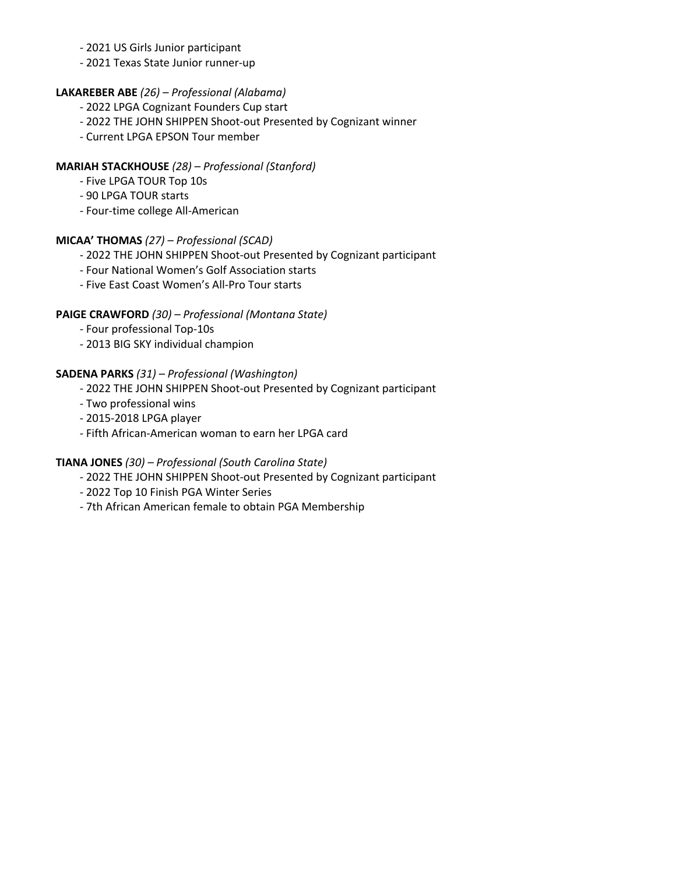## - 2021 US Girls Junior participant

- 2021 Texas State Junior runner-up

## **LAKAREBER ABE** *(26) – Professional (Alabama)*

- 2022 LPGA Cognizant Founders Cup start
- 2022 THE JOHN SHIPPEN Shoot-out Presented by Cognizant winner
- Current LPGA EPSON Tour member

## **MARIAH STACKHOUSE** *(28) – Professional (Stanford)*

- Five LPGA TOUR Top 10s
- 90 LPGA TOUR starts
- Four-time college All-American

## **MICAA' THOMAS** *(27) – Professional (SCAD)*

- 2022 THE JOHN SHIPPEN Shoot-out Presented by Cognizant participant
- Four National Women's Golf Association starts
- Five East Coast Women's All-Pro Tour starts

## **PAIGE CRAWFORD** *(30) – Professional (Montana State)*

- Four professional Top-10s
- 2013 BIG SKY individual champion

## **SADENA PARKS** *(31) – Professional (Washington)*

- 2022 THE JOHN SHIPPEN Shoot-out Presented by Cognizant participant
- Two professional wins
- 2015-2018 LPGA player
- Fifth African-American woman to earn her LPGA card

## **TIANA JONES** *(30) – Professional (South Carolina State)*

- 2022 THE JOHN SHIPPEN Shoot-out Presented by Cognizant participant
- 2022 Top 10 Finish PGA Winter Series
- 7th African American female to obtain PGA Membership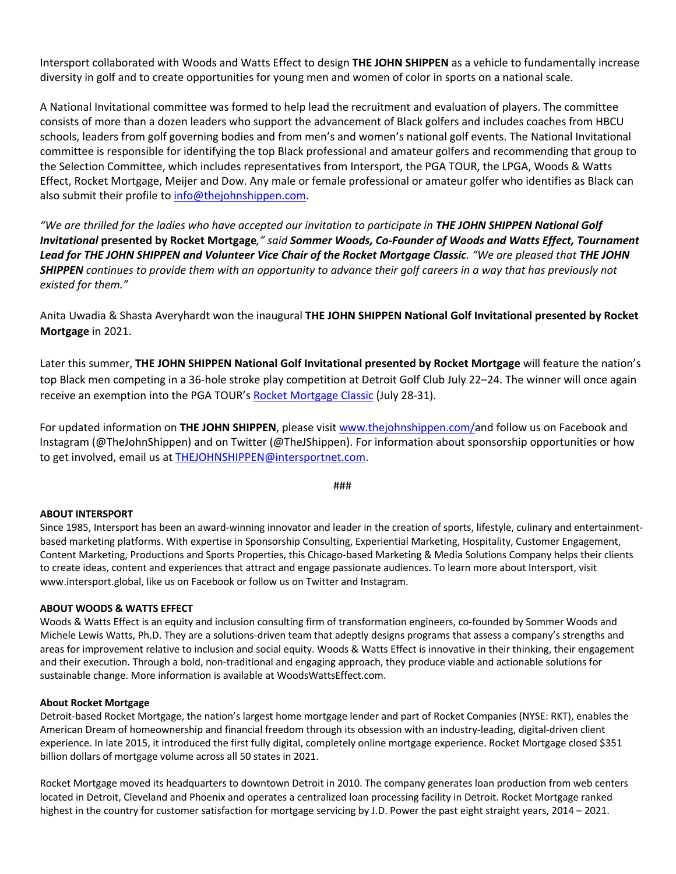Intersport collaborated with Woods and Watts Effect to design **THE JOHN SHIPPEN** as a vehicle to fundamentally increase diversity in golf and to create opportunities for young men and women of color in sports on a national scale.

A National Invitational committee was formed to help lead the recruitment and evaluation of players. The committee consists of more than a dozen leaders who support the advancement of Black golfers and includes coaches from HBCU schools, leaders from golf governing bodies and from men's and women's national golf events. The National Invitational committee is responsible for identifying the top Black professional and amateur golfers and recommending that group to the Selection Committee, which includes representatives from Intersport, the PGA TOUR, the LPGA, Woods & Watts Effect, Rocket Mortgage, Meijer and Dow. Any male or female professional or amateur golfer who identifies as Black can also submit their profile to info@thejohnshippen.com.

*"We are thrilled for the ladies who have accepted our invitation to participate in THE JOHN SHIPPEN National Golf Invitational* **presented by Rocket Mortgage***," said Sommer Woods, Co-Founder of Woods and Watts Effect, Tournament Lead for THE JOHN SHIPPEN and Volunteer Vice Chair of the Rocket Mortgage Classic. "We are pleased that THE JOHN SHIPPEN continues to provide them with an opportunity to advance their golf careers in a way that has previously not existed for them."*

Anita Uwadia & Shasta Averyhardt won the inaugural **THE JOHN SHIPPEN National Golf Invitational presented by Rocket Mortgage** in 2021.

Later this summer, **THE JOHN SHIPPEN National Golf Invitational presented by Rocket Mortgage** will feature the nation's top Black men competing in a 36-hole stroke play competition at Detroit Golf Club July 22–24. The winner will once again receive an exemption into the PGA TOUR's Rocket Mortgage Classic (July 28-31).

For updated information on **THE JOHN SHIPPEN**, please visit www.thejohnshippen.com/and follow us on Facebook and Instagram (@TheJohnShippen) and on Twitter (@TheJShippen). For information about sponsorship opportunities or how to get involved, email us at THEJOHNSHIPPEN@intersportnet.com.

###

#### **ABOUT INTERSPORT**

Since 1985, Intersport has been an award-winning innovator and leader in the creation of sports, lifestyle, culinary and entertainmentbased marketing platforms. With expertise in Sponsorship Consulting, Experiential Marketing, Hospitality, Customer Engagement, Content Marketing, Productions and Sports Properties, this Chicago-based Marketing & Media Solutions Company helps their clients to create ideas, content and experiences that attract and engage passionate audiences. To learn more about Intersport, visit www.intersport.global, like us on Facebook or follow us on Twitter and Instagram.

#### **ABOUT WOODS & WATTS EFFECT**

Woods & Watts Effect is an equity and inclusion consulting firm of transformation engineers, co-founded by Sommer Woods and Michele Lewis Watts, Ph.D. They are a solutions-driven team that adeptly designs programs that assess a company's strengths and areas for improvement relative to inclusion and social equity. Woods & Watts Effect is innovative in their thinking, their engagement and their execution. Through a bold, non-traditional and engaging approach, they produce viable and actionable solutions for sustainable change. More information is available at WoodsWattsEffect.com.

#### **About Rocket Mortgage**

Detroit-based Rocket Mortgage, the nation's largest home mortgage lender and part of Rocket Companies (NYSE: RKT), enables the American Dream of homeownership and financial freedom through its obsession with an industry-leading, digital-driven client experience. In late 2015, it introduced the first fully digital, completely online mortgage experience. Rocket Mortgage closed \$351 billion dollars of mortgage volume across all 50 states in 2021.

Rocket Mortgage moved its headquarters to downtown Detroit in 2010. The company generates loan production from web centers located in Detroit, Cleveland and Phoenix and operates a centralized loan processing facility in Detroit. Rocket Mortgage ranked highest in the country for customer satisfaction for mortgage servicing by J.D. Power the past eight straight years, 2014 – 2021.